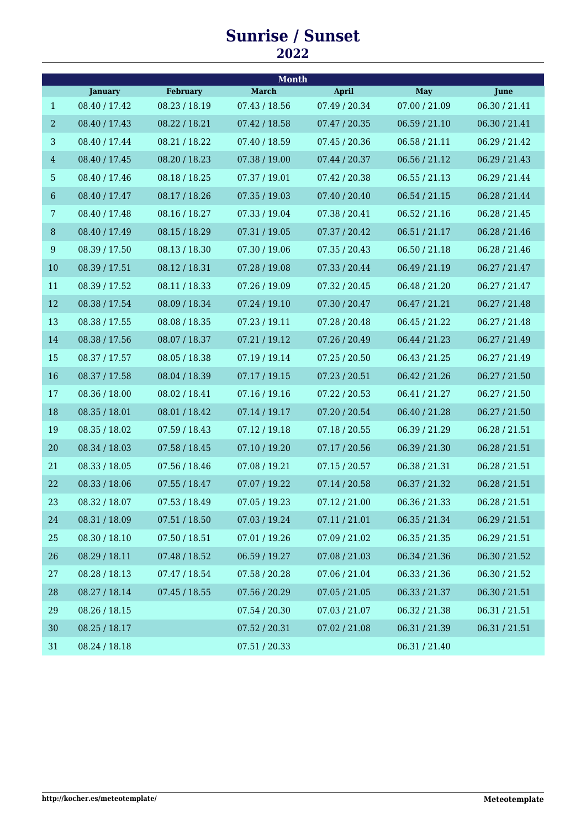## **Sunrise / Sunset**

| <b>Month</b>   |                |                 |               |               |               |               |  |  |  |
|----------------|----------------|-----------------|---------------|---------------|---------------|---------------|--|--|--|
|                | <b>January</b> | <b>February</b> | <b>March</b>  | <b>April</b>  | <b>May</b>    | June          |  |  |  |
| $\mathbf{1}$   | 08.40 / 17.42  | 08.23 / 18.19   | 07.43 / 18.56 | 07.49 / 20.34 | 07.00 / 21.09 | 06.30 / 21.41 |  |  |  |
| $\overline{a}$ | 08.40 / 17.43  | 08.22 / 18.21   | 07.42 / 18.58 | 07.47 / 20.35 | 06.59 / 21.10 | 06.30 / 21.41 |  |  |  |
| $\mathbf{3}$   | 08.40 / 17.44  | 08.21 / 18.22   | 07.40 / 18.59 | 07.45 / 20.36 | 06.58 / 21.11 | 06.29 / 21.42 |  |  |  |
| $\overline{4}$ | 08.40 / 17.45  | 08.20 / 18.23   | 07.38 / 19.00 | 07.44 / 20.37 | 06.56 / 21.12 | 06.29 / 21.43 |  |  |  |
| $\overline{5}$ | 08.40 / 17.46  | 08.18 / 18.25   | 07.37 / 19.01 | 07.42 / 20.38 | 06.55 / 21.13 | 06.29 / 21.44 |  |  |  |
| $6\,$          | 08.40 / 17.47  | 08.17 / 18.26   | 07.35 / 19.03 | 07.40 / 20.40 | 06.54 / 21.15 | 06.28 / 21.44 |  |  |  |
| 7              | 08.40 / 17.48  | 08.16 / 18.27   | 07.33 / 19.04 | 07.38 / 20.41 | 06.52 / 21.16 | 06.28 / 21.45 |  |  |  |
| $\, 8$         | 08.40 / 17.49  | 08.15 / 18.29   | 07.31 / 19.05 | 07.37 / 20.42 | 06.51/21.17   | 06.28 / 21.46 |  |  |  |
| $9\phantom{.}$ | 08.39 / 17.50  | 08.13 / 18.30   | 07.30 / 19.06 | 07.35 / 20.43 | 06.50 / 21.18 | 06.28 / 21.46 |  |  |  |
| 10             | 08.39 / 17.51  | 08.12 / 18.31   | 07.28 / 19.08 | 07.33 / 20.44 | 06.49 / 21.19 | 06.27 / 21.47 |  |  |  |
| 11             | 08.39 / 17.52  | 08.11 / 18.33   | 07.26 / 19.09 | 07.32 / 20.45 | 06.48 / 21.20 | 06.27 / 21.47 |  |  |  |
| 12             | 08.38 / 17.54  | 08.09 / 18.34   | 07.24 / 19.10 | 07.30 / 20.47 | 06.47 / 21.21 | 06.27 / 21.48 |  |  |  |
| 13             | 08.38 / 17.55  | 08.08 / 18.35   | 07.23 / 19.11 | 07.28 / 20.48 | 06.45 / 21.22 | 06.27 / 21.48 |  |  |  |
| 14             | 08.38 / 17.56  | 08.07 / 18.37   | 07.21 / 19.12 | 07.26 / 20.49 | 06.44 / 21.23 | 06.27 / 21.49 |  |  |  |
| 15             | 08.37 / 17.57  | 08.05 / 18.38   | 07.19 / 19.14 | 07.25 / 20.50 | 06.43 / 21.25 | 06.27 / 21.49 |  |  |  |
| 16             | 08.37 / 17.58  | 08.04 / 18.39   | 07.17 / 19.15 | 07.23 / 20.51 | 06.42 / 21.26 | 06.27 / 21.50 |  |  |  |
| 17             | 08.36 / 18.00  | 08.02 / 18.41   | 07.16 / 19.16 | 07.22 / 20.53 | 06.41 / 21.27 | 06.27 / 21.50 |  |  |  |
| 18             | 08.35 / 18.01  | 08.01 / 18.42   | 07.14 / 19.17 | 07.20 / 20.54 | 06.40 / 21.28 | 06.27 / 21.50 |  |  |  |
| 19             | 08.35 / 18.02  | 07.59 / 18.43   | 07.12 / 19.18 | 07.18 / 20.55 | 06.39 / 21.29 | 06.28 / 21.51 |  |  |  |
| 20             | 08.34 / 18.03  | 07.58 / 18.45   | 07.10 / 19.20 | 07.17 / 20.56 | 06.39 / 21.30 | 06.28 / 21.51 |  |  |  |
| 21             | 08.33 / 18.05  | 07.56 / 18.46   | 07.08 / 19.21 | 07.15 / 20.57 | 06.38 / 21.31 | 06.28 / 21.51 |  |  |  |
| 22             | 08.33 / 18.06  | 07.55 / 18.47   | 07.07 / 19.22 | 07.14 / 20.58 | 06.37 / 21.32 | 06.28 / 21.51 |  |  |  |
| 23             | 08.32 / 18.07  | 07.53 / 18.49   | 07.05 / 19.23 | 07.12 / 21.00 | 06.36 / 21.33 | 06.28 / 21.51 |  |  |  |
| 24             | 08.31 / 18.09  | 07.51 / 18.50   | 07.03 / 19.24 | 07.11 / 21.01 | 06.35 / 21.34 | 06.29 / 21.51 |  |  |  |
| 25             | 08.30 / 18.10  | 07.50 / 18.51   | 07.01 / 19.26 | 07.09 / 21.02 | 06.35 / 21.35 | 06.29 / 21.51 |  |  |  |
| 26             | 08.29 / 18.11  | 07.48 / 18.52   | 06.59 / 19.27 | 07.08 / 21.03 | 06.34 / 21.36 | 06.30 / 21.52 |  |  |  |
| 27             | 08.28 / 18.13  | 07.47 / 18.54   | 07.58 / 20.28 | 07.06 / 21.04 | 06.33 / 21.36 | 06.30 / 21.52 |  |  |  |
| 28             | 08.27 / 18.14  | 07.45 / 18.55   | 07.56 / 20.29 | 07.05 / 21.05 | 06.33 / 21.37 | 06.30 / 21.51 |  |  |  |
| 29             | 08.26 / 18.15  |                 | 07.54 / 20.30 | 07.03 / 21.07 | 06.32 / 21.38 | 06.31/21.51   |  |  |  |
| 30             | 08.25 / 18.17  |                 | 07.52 / 20.31 | 07.02 / 21.08 | 06.31 / 21.39 | 06.31/21.51   |  |  |  |
| 31             | 08.24 / 18.18  |                 | 07.51 / 20.33 |               | 06.31 / 21.40 |               |  |  |  |